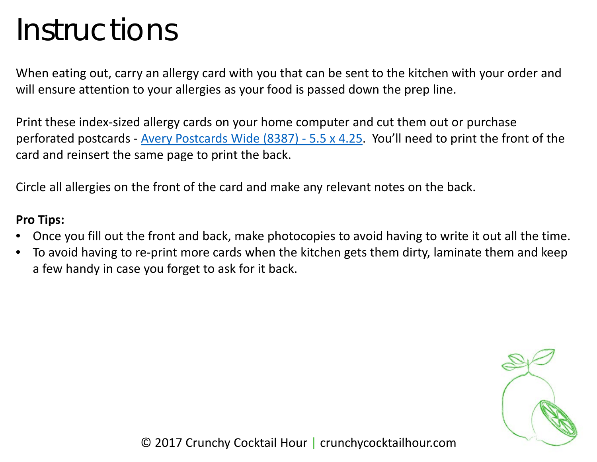## Instructions

When eating out, carry an allergy card with you that can be sent to the kitchen with your order and will ensure attention to your allergies as your food is passed down the prep line.

Print these index-sized allergy cards on your home computer and cut them out or purchase perforated postcards - [Avery Postcards Wide \(8387\) -](http://amzn.to/2xI9rfv) 5.5 x 4.25. You'll need to print the front of the card and reinsert the same page to print the back.

Circle all allergies on the front of the card and make any relevant notes on the back.

## **Pro Tips:**

- Once you fill out the front and back, make photocopies to avoid having to write it out all the time.
- To avoid having to re-print more cards when the kitchen gets them dirty, laminate them and keep a few handy in case you forget to ask for it back.

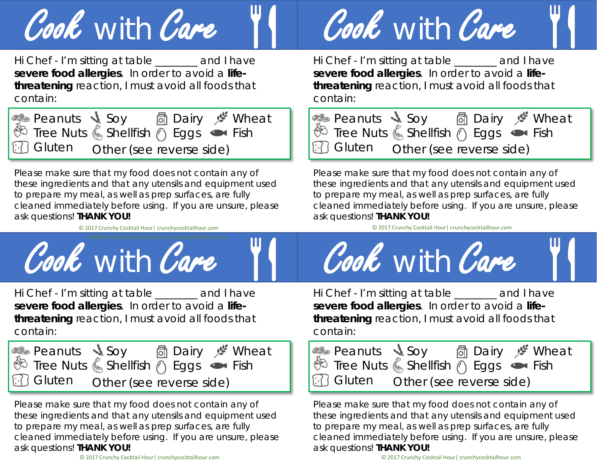

Hi Chef - I'm sitting at table \_\_\_\_\_\_\_\_ and I have *severe food allergies*. In order to avoid a *lifethreatening* reaction, I must avoid all foods that contain:

| in Gluten Other (see reverse side) |  |  |  |
|------------------------------------|--|--|--|

Please make sure that my food does not contain any of these ingredients and that any utensils and equipment used to prepare my meal, as well as prep surfaces, are fully cleaned immediately before using. If you are unsure, please ask questions! **THANK YOU!**



Hi Chef - I'm sitting at table \_\_\_\_\_\_\_\_ and I have *severe food allergies*. In order to avoid a *lifethreatening* reaction, I must avoid all foods that contain:

|  | in Gluten  other (see reverse side) |  |  |
|--|-------------------------------------|--|--|

Please make sure that my food does not contain any of these ingredients and that any utensils and equipment used to prepare my meal, as well as prep surfaces, are fully cleaned immediately before using. If you are unsure, please ask questions! **THANK YOU!**



Hi Chef - I'm sitting at table \_\_\_\_\_\_\_\_ and I have *severe food allergies*. In order to avoid a *lifethreatening* reaction, I must avoid all foods that contain:



Please make sure that my food does not contain any of these ingredients and that any utensils and equipment used to prepare my meal, as well as prep surfaces, are fully cleaned immediately before using. If you are unsure, please ask questions! **THANK YOU!**

© 2017 Crunchy Cocktail Hour| crunchycocktailhour.com



Hi Chef - I'm sitting at table \_\_\_\_\_\_\_\_ and I have *severe food allergies*. In order to avoid a *lifethreatening* reaction, I must avoid all foods that contain:

Peanuts Tree Nuts Other (see reverse side)  $\begin{bmatrix} \begin{bmatrix} 1 \end{bmatrix} & \begin{bmatrix} 1 \end{bmatrix} & \begin{bmatrix} 1 \end{bmatrix} & \begin{bmatrix} 1 \end{bmatrix} & \begin{bmatrix} 1 \end{bmatrix} & \begin{bmatrix} 1 \end{bmatrix} & \begin{bmatrix} 1 \end{bmatrix} & \begin{bmatrix} 1 \end{bmatrix} & \begin{bmatrix} 1 \end{bmatrix} & \begin{bmatrix} 1 \end{bmatrix} & \begin{bmatrix} 1 \end{bmatrix} & \begin{bmatrix} 1 \end{bmatrix} & \begin{bmatrix} 1 \end$ Soy Shellfish Dairy Eggs Wheat Fish

Please make sure that my food does not contain any of these ingredients and that any utensils and equipment used to prepare my meal, as well as prep surfaces, are fully cleaned immediately before using. If you are unsure, please ask questions! **THANK YOU!**

## © 2017 Crunchy Cocktail Hour| crunchycocktailhour.com